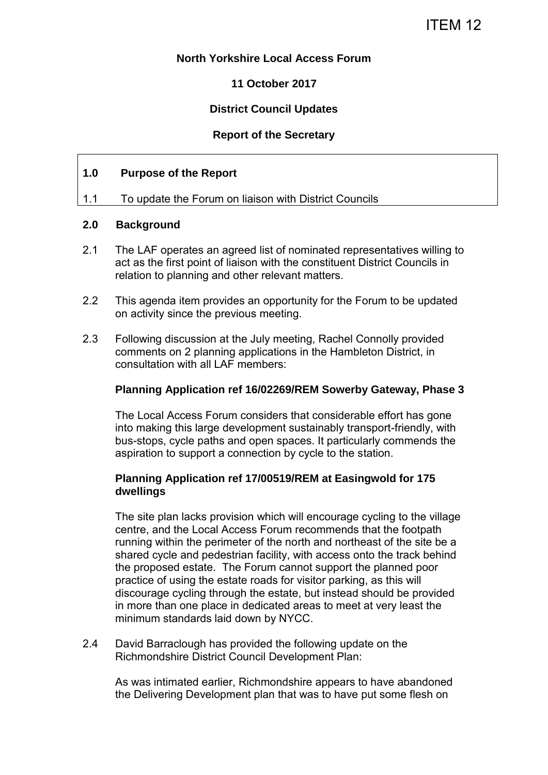# **North Yorkshire Local Access Forum**

# **11 October 2017**

# **District Council Updates**

# **Report of the Secretary**

# **1.0 Purpose of the Report**

### 1.1 To update the Forum on liaison with District Councils

#### **2.0 Background**

- 2.1 The LAF operates an agreed list of nominated representatives willing to act as the first point of liaison with the constituent District Councils in relation to planning and other relevant matters.
- 2.2 This agenda item provides an opportunity for the Forum to be updated on activity since the previous meeting.
- 2.3 Following discussion at the July meeting, Rachel Connolly provided comments on 2 planning applications in the Hambleton District, in consultation with all LAF members:

#### **Planning Application ref 16/02269/REM Sowerby Gateway, Phase 3**

The Local Access Forum considers that considerable effort has gone into making this large development sustainably transport-friendly, with bus-stops, cycle paths and open spaces. It particularly commends the aspiration to support a connection by cycle to the station.

### **Planning Application ref 17/00519/REM at Easingwold for 175 dwellings**

The site plan lacks provision which will encourage cycling to the village centre, and the Local Access Forum recommends that the footpath running within the perimeter of the north and northeast of the site be a shared cycle and pedestrian facility, with access onto the track behind the proposed estate. The Forum cannot support the planned poor practice of using the estate roads for visitor parking, as this will discourage cycling through the estate, but instead should be provided in more than one place in dedicated areas to meet at very least the minimum standards laid down by NYCC.

2.4 David Barraclough has provided the following update on the Richmondshire District Council Development Plan:

As was intimated earlier, Richmondshire appears to have abandoned the Delivering Development plan that was to have put some flesh on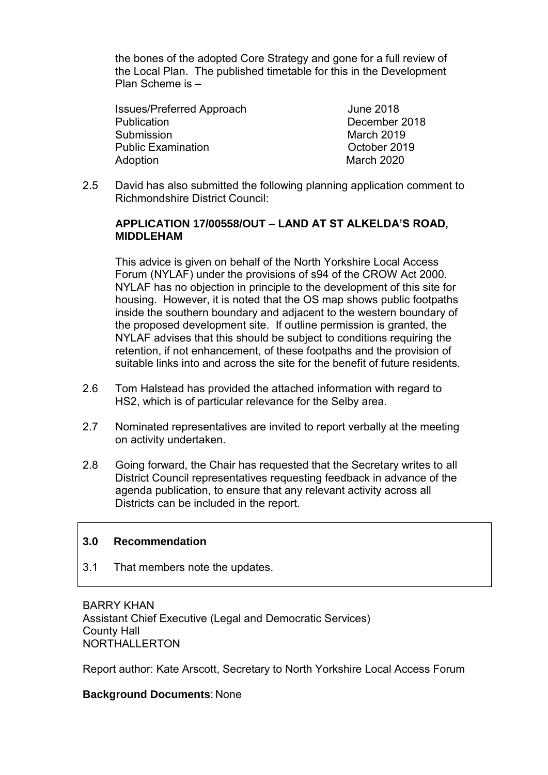the bones of the adopted Core Strategy and gone for a full review of the Local Plan. The published timetable for this in the Development Plan Scheme is –

Issues/Preferred Approach June 2018 Publication **December 2018** Submission March 2019 Public Examination **Department Controllering** October 2019 Adoption March 2020

2.5 David has also submitted the following planning application comment to Richmondshire District Council:

### **APPLICATION 17/00558/OUT – LAND AT ST ALKELDA'S ROAD, MIDDLEHAM**

This advice is given on behalf of the North Yorkshire Local Access Forum (NYLAF) under the provisions of s94 of the CROW Act 2000. NYLAF has no objection in principle to the development of this site for housing. However, it is noted that the OS map shows public footpaths inside the southern boundary and adjacent to the western boundary of the proposed development site. If outline permission is granted, the NYLAF advises that this should be subject to conditions requiring the retention, if not enhancement, of these footpaths and the provision of suitable links into and across the site for the benefit of future residents.

- 2.6 Tom Halstead has provided the attached information with regard to HS2, which is of particular relevance for the Selby area.
- 2.7 Nominated representatives are invited to report verbally at the meeting on activity undertaken.
- 2.8 Going forward, the Chair has requested that the Secretary writes to all District Council representatives requesting feedback in advance of the agenda publication, to ensure that any relevant activity across all Districts can be included in the report.

### **3.0 Recommendation**

3.1 That members note the updates.

BARRY KHAN Assistant Chief Executive (Legal and Democratic Services) County Hall NORTHALL FRTON

Report author: Kate Arscott, Secretary to North Yorkshire Local Access Forum

**Background Documents**: None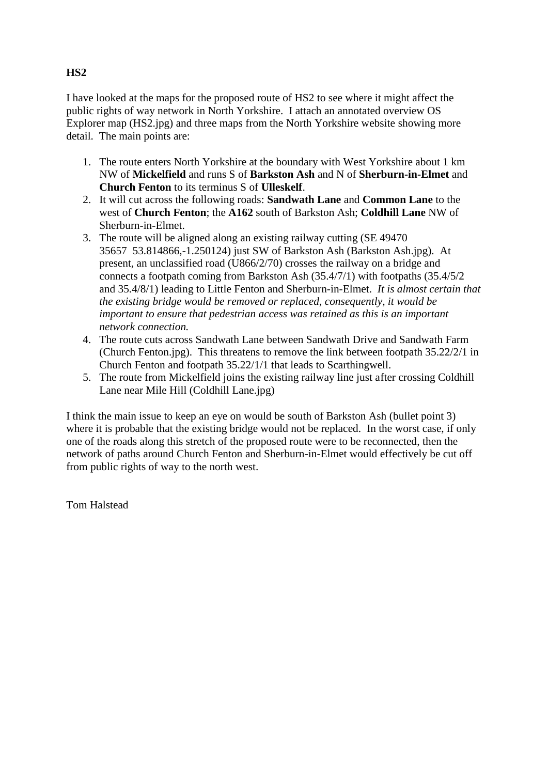# **HS2**

I have looked at the maps for the proposed route of HS2 to see where it might affect the public rights of way network in North Yorkshire. I attach an annotated overview OS Explorer map (HS2.jpg) and three maps from the North Yorkshire website showing more detail. The main points are:

- 1. The route enters North Yorkshire at the boundary with West Yorkshire about 1 km NW of **Mickelfield** and runs S of **Barkston Ash** and N of **Sherburn-in-Elmet** and **Church Fenton** to its terminus S of **Ulleskelf**.
- 2. It will cut across the following roads: **Sandwath Lane** and **Common Lane** to the west of **Church Fenton**; the **A162** south of Barkston Ash; **Coldhill Lane** NW of Sherburn-in-Elmet.
- 3. The route will be aligned along an existing railway cutting (SE 49470 35657 53.814866,-1.250124) just SW of Barkston Ash (Barkston Ash.jpg). At present, an unclassified road (U866/2/70) crosses the railway on a bridge and connects a footpath coming from Barkston Ash (35.4/7/1) with footpaths (35.4/5/2 and 35.4/8/1) leading to Little Fenton and Sherburn-in-Elmet. *It is almost certain that the existing bridge would be removed or replaced, consequently, it would be important to ensure that pedestrian access was retained as this is an important network connection.*
- 4. The route cuts across Sandwath Lane between Sandwath Drive and Sandwath Farm (Church Fenton.jpg). This threatens to remove the link between footpath 35.22/2/1 in Church Fenton and footpath 35.22/1/1 that leads to Scarthingwell.
- 5. The route from Mickelfield joins the existing railway line just after crossing Coldhill Lane near Mile Hill (Coldhill Lane.jpg)

I think the main issue to keep an eye on would be south of Barkston Ash (bullet point 3) where it is probable that the existing bridge would not be replaced. In the worst case, if only one of the roads along this stretch of the proposed route were to be reconnected, then the network of paths around Church Fenton and Sherburn-in-Elmet would effectively be cut off from public rights of way to the north west.

Tom Halstead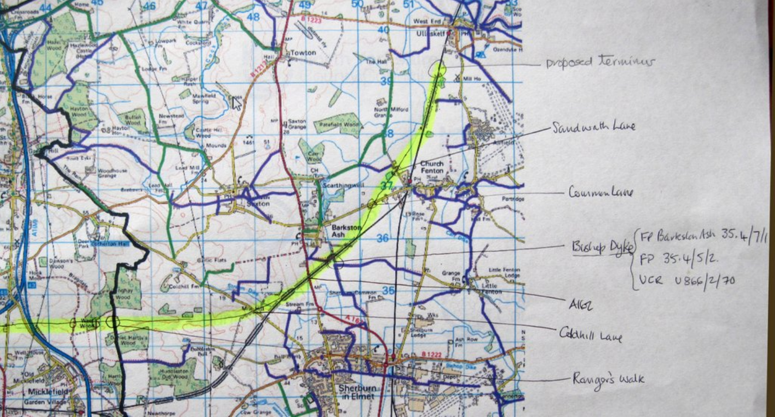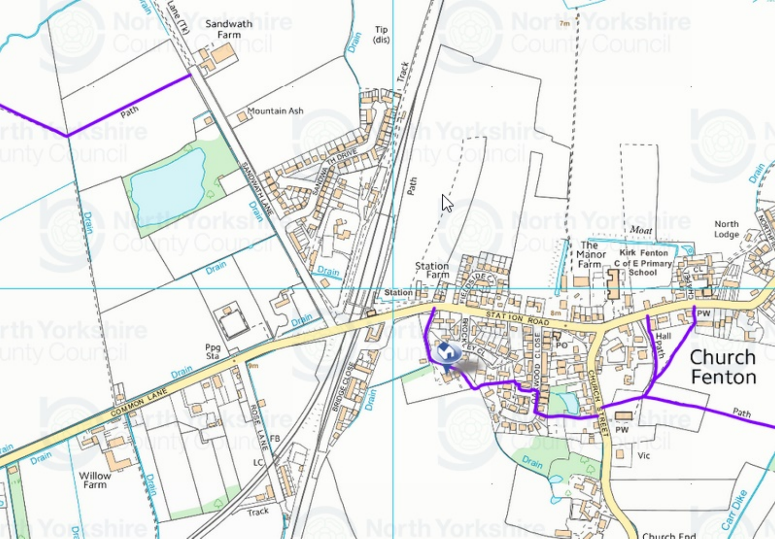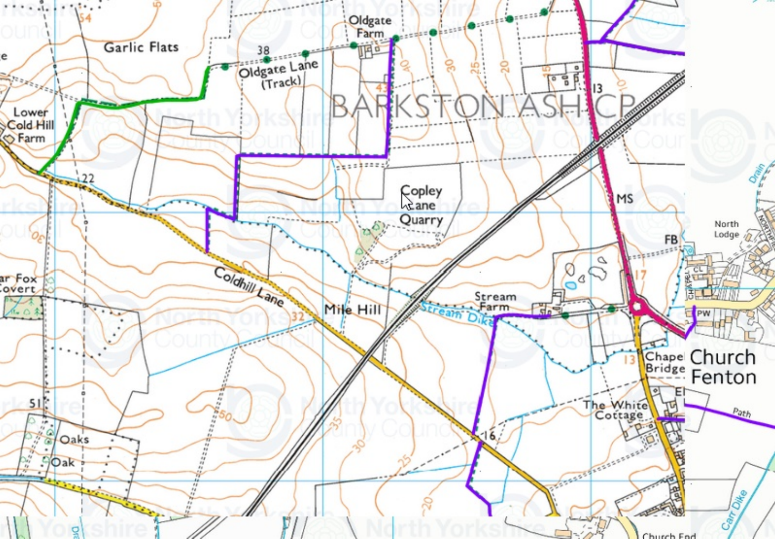